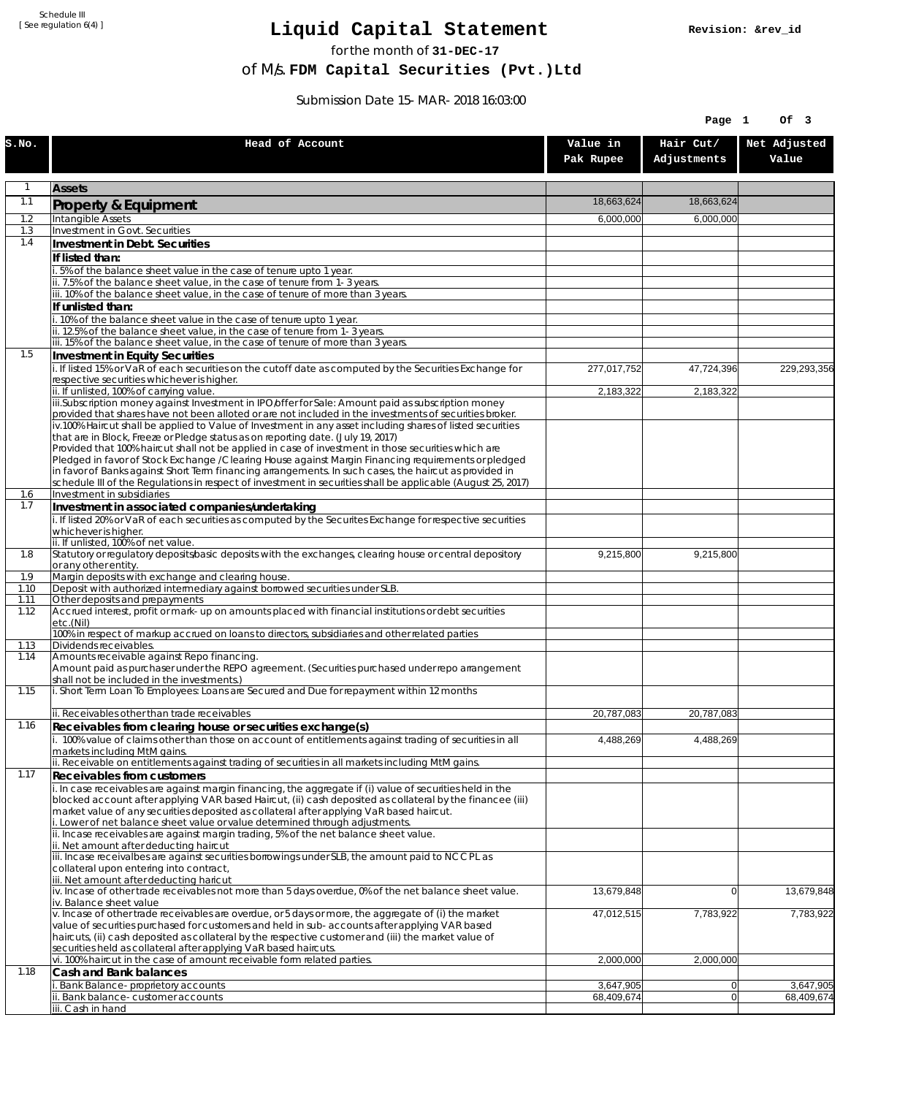Schedule III [ See regulation 6(4) ]

## **Liquid Capital Statement**

for the month of **31-DEC-17**

of M/s. **FDM Capital Securities (Pvt.)Ltd**

Submission Date 15-MAR-2018 16:03:00

|              | Page 1                                                                                                                                                                                                        |                       |                          |                       |
|--------------|---------------------------------------------------------------------------------------------------------------------------------------------------------------------------------------------------------------|-----------------------|--------------------------|-----------------------|
| s.no.        | Head of Account                                                                                                                                                                                               | Value in<br>Pak Rupee | Hair Cut/<br>Adjustments | Net Adjusted<br>Value |
| $\mathbf{1}$ | <b>Assets</b>                                                                                                                                                                                                 |                       |                          |                       |
| 1.1          | <b>Property &amp; Equipment</b>                                                                                                                                                                               | 18.663.624            | 18,663,624               |                       |
| 1.2          | Intangible Assets                                                                                                                                                                                             | 6,000,000             | 6,000,000                |                       |
| 1.3<br>1.4   | Investment in Govt. Securities                                                                                                                                                                                |                       |                          |                       |
|              | Investment in Debt. Securities<br>If listed than:                                                                                                                                                             |                       |                          |                       |
|              | .5% of the balance sheet value in the case of tenure upto 1 year.                                                                                                                                             |                       |                          |                       |
|              | ii. 7.5% of the balance sheet value, in the case of tenure from 1-3 years.                                                                                                                                    |                       |                          |                       |
|              | iii. 10% of the balance sheet value, in the case of tenure of more than 3 years.<br>If unlisted than:                                                                                                         |                       |                          |                       |
|              | i. 10% of the balance sheet value in the case of tenure upto 1 year.                                                                                                                                          |                       |                          |                       |
|              | ii. 12.5% of the balance sheet value, in the case of tenure from 1-3 years.                                                                                                                                   |                       |                          |                       |
|              | iii. 15% of the balance sheet value, in the case of tenure of more than 3 years.                                                                                                                              |                       |                          |                       |
| 1.5          | Investment in Equity Securities<br>i. If listed 15% or VaR of each securities on the cutoff date as computed by the Securities Exchange for                                                                   | 277,017,752           | 47,724,396               | 229,293,356           |
|              | respective securities whichever is higher.                                                                                                                                                                    |                       |                          |                       |
|              | ii. If unlisted, 100% of carrying value.                                                                                                                                                                      | 2,183,322             | 2,183,322                |                       |
|              | iii.Subscription money against Investment in IPO/offer for Sale: Amount paid as subscription money<br>provided that shares have not been alloted or are not included in the investments of securities broker. |                       |                          |                       |
|              | iv.100% Haircut shall be applied to Value of Investment in any asset including shares of listed securities                                                                                                    |                       |                          |                       |
|              | that are in Block, Freeze or Pledge status as on reporting date. (July 19, 2017)<br>Provided that 100% haircut shall not be applied in case of investment in those securities which are                       |                       |                          |                       |
|              | Pledged in favor of Stock Exchange / Clearing House against Margin Financing requirements or pledged                                                                                                          |                       |                          |                       |
|              | in favor of Banks against Short Term financing arrangements. In such cases, the haircut as provided in                                                                                                        |                       |                          |                       |
| 1.6          | schedule III of the Regulations in respect of investment in securities shall be applicable (August 25, 2017)<br>Investment in subsidiaries                                                                    |                       |                          |                       |
| 1.7          | Investment in associated companies/undertaking                                                                                                                                                                |                       |                          |                       |
|              | i. If listed 20% or VaR of each securities as computed by the Securites Exchange for respective securities                                                                                                    |                       |                          |                       |
|              | whichever is higher.<br>ii. If unlisted, 100% of net value.                                                                                                                                                   |                       |                          |                       |
| 1.8          | Statutory or regulatory deposits/basic deposits with the exchanges, clearing house or central depository                                                                                                      | 9,215,800             | 9,215,800                |                       |
|              | or any other entity.                                                                                                                                                                                          |                       |                          |                       |
| 1.9<br>1.10  | Margin deposits with exchange and clearing house.<br>Deposit with authorized intermediary against borrowed securities under SLB.                                                                              |                       |                          |                       |
| 1.11         | Other deposits and prepayments                                                                                                                                                                                |                       |                          |                       |
| 1.12         | Accrued interest, profit or mark-up on amounts placed with financial institutions or debt securities<br>etc.(Nil)                                                                                             |                       |                          |                       |
| 1.13         | 100% in respect of markup accrued on loans to directors, subsidiaries and other related parties<br>Dividends receivables.                                                                                     |                       |                          |                       |
| 1.14         | Amounts receivable against Repo financing.                                                                                                                                                                    |                       |                          |                       |
|              | Amount paid as purchaser under the REPO agreement. (Securities purchased under repo arrangement<br>shall not be included in the investments.)                                                                 |                       |                          |                       |
| 1.15         | i. Short Term Loan To Employees: Loans are Secured and Due for repayment within 12 months                                                                                                                     |                       |                          |                       |
|              | ii. Receivables other than trade receivables                                                                                                                                                                  | 20,787,083            | 20,787,083               |                       |
| 1.16         | Receivables from clearing house or securities exchange(s)                                                                                                                                                     |                       |                          |                       |
|              | i. 100% value of claims other than those on account of entitlements against trading of securities in all<br>markets including MtM gains.                                                                      | 4,488,269             | 4,488,269                |                       |
| 1.17         | ii. Receivable on entitlements against trading of securities in all markets including MtM gains.<br><b>Receivables from customers</b>                                                                         |                       |                          |                       |
|              | i. In case receivables are against margin financing, the aggregate if (i) value of securities held in the                                                                                                     |                       |                          |                       |
|              | blocked account after applying VAR based Haircut, (ii) cash deposited as collateral by the financee (iii)                                                                                                     |                       |                          |                       |
|              | market value of any securities deposited as collateral after applying VaR based haircut.<br>i. Lower of net balance sheet value or value determined through adjustments.                                      |                       |                          |                       |
|              | ii. Incase receivables are against margin trading, 5% of the net balance sheet value.                                                                                                                         |                       |                          |                       |
|              | ii. Net amount after deducting haircut<br>iii. Incase receivalbes are against securities borrowings under SLB, the amount paid to NCCPL as                                                                    |                       |                          |                       |
|              | collateral upon entering into contract,<br>iii. Net amount after deducting haricut                                                                                                                            |                       |                          |                       |
|              | iv. Incase of other trade receivables not more than 5 days overdue, 0% of the net balance sheet value.<br>iv. Balance sheet value                                                                             | 13,679,848            | 0                        | 13,679,848            |
|              | v. Incase of other trade receivables are overdue, or 5 days or more, the aggregate of (i) the market                                                                                                          | 47,012,515            | 7,783,922                | 7,783,922             |
|              | value of securities purchased for customers and held in sub-accounts after applying VAR based<br>haircuts, (ii) cash deposited as collateral by the respective customer and (iii) the market value of         |                       |                          |                       |
|              | securities held as collateral after applying VaR based haircuts.                                                                                                                                              |                       |                          |                       |
|              | vi. 100% haircut in the case of amount receivable form related parties.                                                                                                                                       | 2,000,000             | 2,000,000                |                       |
| 1.18         | Cash and Bank balances<br>Bank Balance-proprietory accounts                                                                                                                                                   | 3,647,905             | $\overline{0}$           | 3,647,905             |
|              | ii. Bank balance-customer accounts                                                                                                                                                                            | 68,409,674            | $\overline{0}$           | 68,409,674            |
|              | iii. Cash in hand                                                                                                                                                                                             |                       |                          |                       |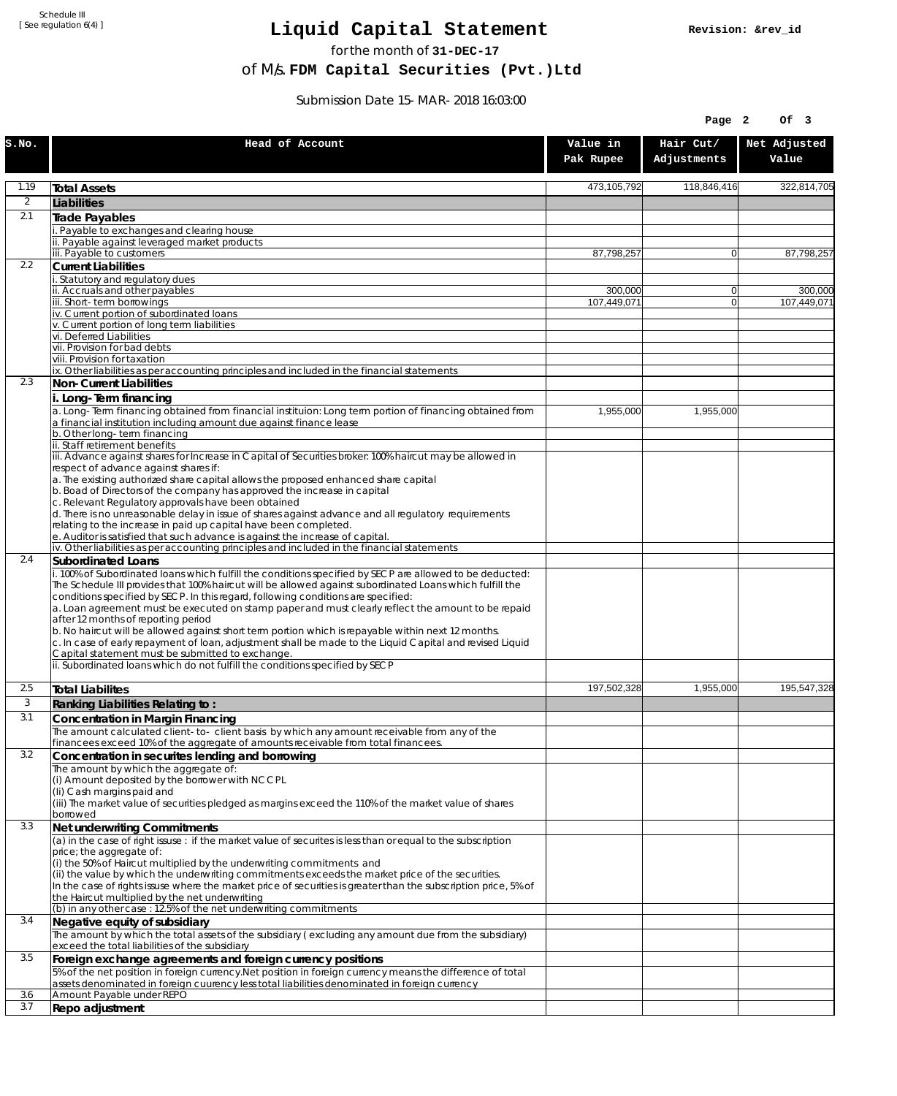Schedule III [ See regulation 6(4) ]

## **Liquid Capital Statement**

for the month of **31-DEC-17**

of M/s. **FDM Capital Securities (Pvt.)Ltd**

Submission Date 15-MAR-2018 16:03:00

|                |                                                                                                                                                                                                             |                        | Page 2                   | Of 3                   |
|----------------|-------------------------------------------------------------------------------------------------------------------------------------------------------------------------------------------------------------|------------------------|--------------------------|------------------------|
| S.NO.          | Head of Account                                                                                                                                                                                             | Value in<br>Pak Rupee  | Hair Cut/<br>Adjustments | Net Adjusted<br>Value  |
| 1.19           | <b>Total Assets</b>                                                                                                                                                                                         | 473,105,792            | 118,846,416              | 322,814,705            |
| $\overline{2}$ | Liabilities                                                                                                                                                                                                 |                        |                          |                        |
| 2.1            | <b>Trade Payables</b>                                                                                                                                                                                       |                        |                          |                        |
|                | Payable to exchanges and clearing house                                                                                                                                                                     |                        |                          |                        |
|                | ii. Payable against leveraged market products<br>iii. Payable to customers                                                                                                                                  | 87,798,257             | $\overline{0}$           | 87,798,257             |
| 2.2            | <b>Current Liabilities</b>                                                                                                                                                                                  |                        |                          |                        |
|                | Statutory and regulatory dues                                                                                                                                                                               |                        |                          |                        |
|                | ii. Accruals and other payables<br>iii. Short-term borrowings                                                                                                                                               | 300,000<br>107.449.071 | 0 <br> 0                 | 300,000<br>107,449,071 |
|                | iv. Current portion of subordinated loans                                                                                                                                                                   |                        |                          |                        |
|                | v. Current portion of long term liabilities                                                                                                                                                                 |                        |                          |                        |
|                | vi. Deferred Liabilities<br>vii. Provision for bad debts                                                                                                                                                    |                        |                          |                        |
|                | viii. Provision for taxation                                                                                                                                                                                |                        |                          |                        |
|                | ix. Other liabilities as per accounting principles and included in the financial statements                                                                                                                 |                        |                          |                        |
| 2.3            | Non-Current Liabilities                                                                                                                                                                                     |                        |                          |                        |
|                | i. Long-Term financing                                                                                                                                                                                      |                        |                          |                        |
|                | a. Long-Term financing obtained from financial instituion: Long term portion of financing obtained from<br>a financial institution including amount due against finance lease                               | 1,955,000              | 1,955,000                |                        |
|                | b. Other long-term financing                                                                                                                                                                                |                        |                          |                        |
|                | ii. Staff retirement benefits                                                                                                                                                                               |                        |                          |                        |
|                | iii. Advance against shares for Increase in Capital of Securities broker: 100% haircut may be allowed in<br>respect of advance against shares if:                                                           |                        |                          |                        |
|                | a. The existing authorized share capital allows the proposed enhanced share capital                                                                                                                         |                        |                          |                        |
|                | b. Boad of Directors of the company has approved the increase in capital                                                                                                                                    |                        |                          |                        |
|                | c. Relevant Regulatory approvals have been obtained<br>d. There is no unreasonable delay in issue of shares against advance and all regulatory requirements                                                 |                        |                          |                        |
|                | relating to the increase in paid up capital have been completed.                                                                                                                                            |                        |                          |                        |
|                | e. Auditor is satisfied that such advance is against the increase of capital.                                                                                                                               |                        |                          |                        |
| 2.4            | iv. Other liabilities as per accounting principles and included in the financial statements                                                                                                                 |                        |                          |                        |
|                | Subordinated Loans<br>. 100% of Subordinated loans which fulfill the conditions specified by SECP are allowed to be deducted:                                                                               |                        |                          |                        |
|                | The Schedule III provides that 100% haircut will be allowed against subordinated Loans which fulfill the                                                                                                    |                        |                          |                        |
|                | conditions specified by SECP. In this regard, following conditions are specified:                                                                                                                           |                        |                          |                        |
|                | a. Loan agreement must be executed on stamp paper and must clearly reflect the amount to be repaid<br>after 12 months of reporting period                                                                   |                        |                          |                        |
|                | b. No haircut will be allowed against short term portion which is repayable within next 12 months.                                                                                                          |                        |                          |                        |
|                | c. In case of early repayment of loan, adjustment shall be made to the Liquid Capital and revised Liquid                                                                                                    |                        |                          |                        |
|                | Capital statement must be submitted to exchange.<br>ii. Subordinated loans which do not fulfill the conditions specified by SECP                                                                            |                        |                          |                        |
|                |                                                                                                                                                                                                             |                        |                          |                        |
| 2.5            | <b>Total Liabilites</b>                                                                                                                                                                                     | 197,502,328            | 1,955,000                | 195,547,328            |
| 3              | Ranking Liabilities Relating to:                                                                                                                                                                            |                        |                          |                        |
| 3.1            | Concentration in Margin Financing                                                                                                                                                                           |                        |                          |                        |
|                | The amount calculated client-to- client basis by which any amount receivable from any of the                                                                                                                |                        |                          |                        |
| 3.2            | financees exceed 10% of the aggregate of amounts receivable from total financees.<br>Concentration in securites lending and borrowing                                                                       |                        |                          |                        |
|                | The amount by which the aggregate of:                                                                                                                                                                       |                        |                          |                        |
|                | (i) Amount deposited by the borrower with NCCPL                                                                                                                                                             |                        |                          |                        |
|                | (Ii) Cash margins paid and                                                                                                                                                                                  |                        |                          |                        |
|                | (iii) The market value of securities pledged as margins exceed the 110% of the market value of shares<br>borrowed                                                                                           |                        |                          |                        |
| 3.3            | Net underwriting Commitments                                                                                                                                                                                |                        |                          |                        |
|                | $\alpha$ ) in the case of right issuse: if the market value of securites is less than or equal to the subscription                                                                                          |                        |                          |                        |
|                | price; the aggregate of:                                                                                                                                                                                    |                        |                          |                        |
|                | (i) the 50% of Haircut multiplied by the underwriting commitments and<br>(ii) the value by which the underwriting commitments exceeds the market price of the securities.                                   |                        |                          |                        |
|                | In the case of rights issuse where the market price of securities is greater than the subscription price, 5% of                                                                                             |                        |                          |                        |
|                | the Haircut multiplied by the net underwriting                                                                                                                                                              |                        |                          |                        |
| 3.4            | (b) in any other case : 12.5% of the net underwriting commitments<br>Negative equity of subsidiary                                                                                                          |                        |                          |                        |
|                | The amount by which the total assets of the subsidiary (excluding any amount due from the subsidiary)                                                                                                       |                        |                          |                        |
|                | exceed the total liabilities of the subsidiary                                                                                                                                                              |                        |                          |                        |
| 3.5            | Foreign exchange agreements and foreign currency positions                                                                                                                                                  |                        |                          |                        |
|                | 5% of the net position in foreign currency. Net position in foreign currency means the difference of total<br>assets denominated in foreign cuurency less total liabilities denominated in foreign currency |                        |                          |                        |
| 3.6            | Amount Payable under REPO                                                                                                                                                                                   |                        |                          |                        |
| 3.7            | Repo adjustment                                                                                                                                                                                             |                        |                          |                        |
|                |                                                                                                                                                                                                             |                        |                          |                        |